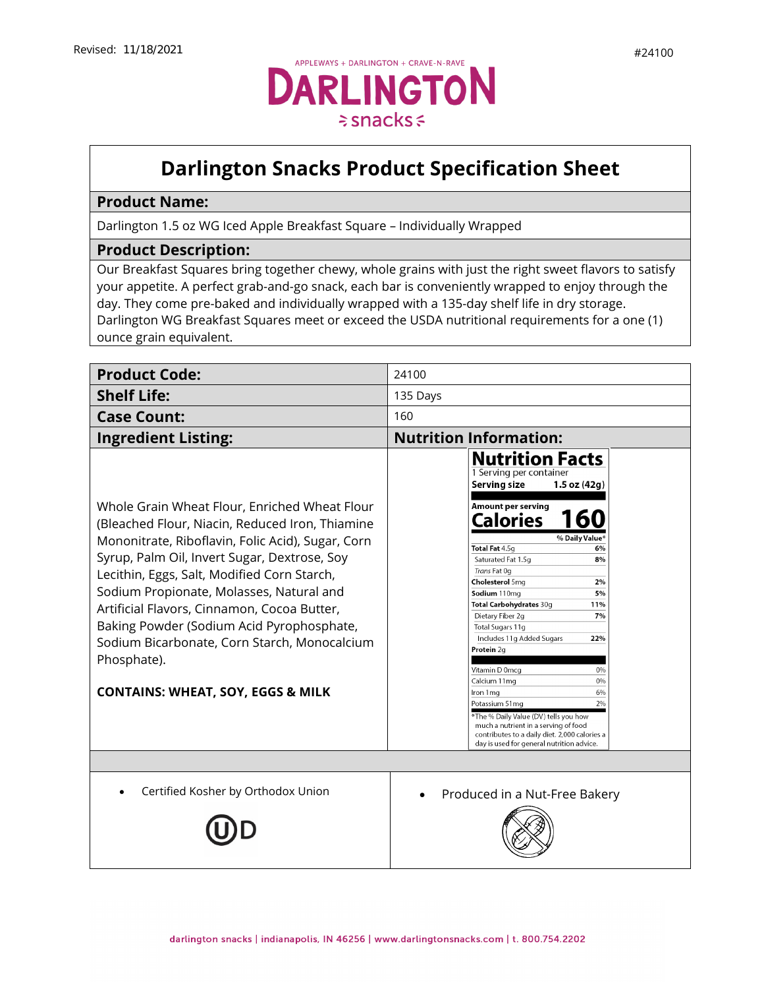

## **Darlington Snacks Product Specification Sheet**

## **Product Name:**

Darlington 1.5 oz WG Iced Apple Breakfast Square – Individually Wrapped

## **Product Description:**

Our Breakfast Squares bring together chewy, whole grains with just the right sweet flavors to satisfy your appetite. A perfect grab-and-go snack, each bar is conveniently wrapped to enjoy through the day. They come pre-baked and individually wrapped with a 135-day shelf life in dry storage. Darlington WG Breakfast Squares meet or exceed the USDA nutritional requirements for a one (1) ounce grain equivalent.

| <b>Product Code:</b>                                                                                                                                                                                                                                                                                                                                                                                                                                                                                        | 24100                                                                                                                                                                                                                                                                                                                                                                                                                                                                                                                                                                                                                                                                         |
|-------------------------------------------------------------------------------------------------------------------------------------------------------------------------------------------------------------------------------------------------------------------------------------------------------------------------------------------------------------------------------------------------------------------------------------------------------------------------------------------------------------|-------------------------------------------------------------------------------------------------------------------------------------------------------------------------------------------------------------------------------------------------------------------------------------------------------------------------------------------------------------------------------------------------------------------------------------------------------------------------------------------------------------------------------------------------------------------------------------------------------------------------------------------------------------------------------|
| <b>Shelf Life:</b>                                                                                                                                                                                                                                                                                                                                                                                                                                                                                          | 135 Days                                                                                                                                                                                                                                                                                                                                                                                                                                                                                                                                                                                                                                                                      |
| <b>Case Count:</b>                                                                                                                                                                                                                                                                                                                                                                                                                                                                                          | 160                                                                                                                                                                                                                                                                                                                                                                                                                                                                                                                                                                                                                                                                           |
| <b>Ingredient Listing:</b>                                                                                                                                                                                                                                                                                                                                                                                                                                                                                  | <b>Nutrition Information:</b>                                                                                                                                                                                                                                                                                                                                                                                                                                                                                                                                                                                                                                                 |
| Whole Grain Wheat Flour, Enriched Wheat Flour<br>(Bleached Flour, Niacin, Reduced Iron, Thiamine<br>Mononitrate, Riboflavin, Folic Acid), Sugar, Corn<br>Syrup, Palm Oil, Invert Sugar, Dextrose, Soy<br>Lecithin, Eggs, Salt, Modified Corn Starch,<br>Sodium Propionate, Molasses, Natural and<br>Artificial Flavors, Cinnamon, Cocoa Butter,<br>Baking Powder (Sodium Acid Pyrophosphate,<br>Sodium Bicarbonate, Corn Starch, Monocalcium<br>Phosphate).<br><b>CONTAINS: WHEAT, SOY, EGGS &amp; MILK</b> | <b>Nutrition Facts</b><br>1 Serving per container<br><b>Serving size</b><br>$1.5$ oz $(42q)$<br>Amount per serving<br>Calories<br>% Daily Value*<br>Total Fat 4.5q<br>6%<br>Saturated Fat 1.5q<br>8%<br>Trans Fat Og<br>Cholesterol 5mg<br>2%<br>Sodium 110mg<br>5%<br>Total Carbohydrates 30g<br>11%<br>7%<br>Dietary Fiber 2g<br>Total Sugars 11g<br>Includes 11g Added Sugars<br>22%<br>Protein 2q<br>Vitamin D 0mcg<br>0%<br>Calcium 11mg<br>0%<br>6%<br>Iron 1 mg<br>2%<br>Potassium 51mg<br>*The % Daily Value (DV) tells you how<br>much a nutrient in a serving of food<br>contributes to a daily diet. 2,000 calories a<br>day is used for general nutrition advice. |
| Certified Kosher by Orthodox Union                                                                                                                                                                                                                                                                                                                                                                                                                                                                          |                                                                                                                                                                                                                                                                                                                                                                                                                                                                                                                                                                                                                                                                               |
|                                                                                                                                                                                                                                                                                                                                                                                                                                                                                                             | Produced in a Nut-Free Bakery                                                                                                                                                                                                                                                                                                                                                                                                                                                                                                                                                                                                                                                 |
|                                                                                                                                                                                                                                                                                                                                                                                                                                                                                                             |                                                                                                                                                                                                                                                                                                                                                                                                                                                                                                                                                                                                                                                                               |